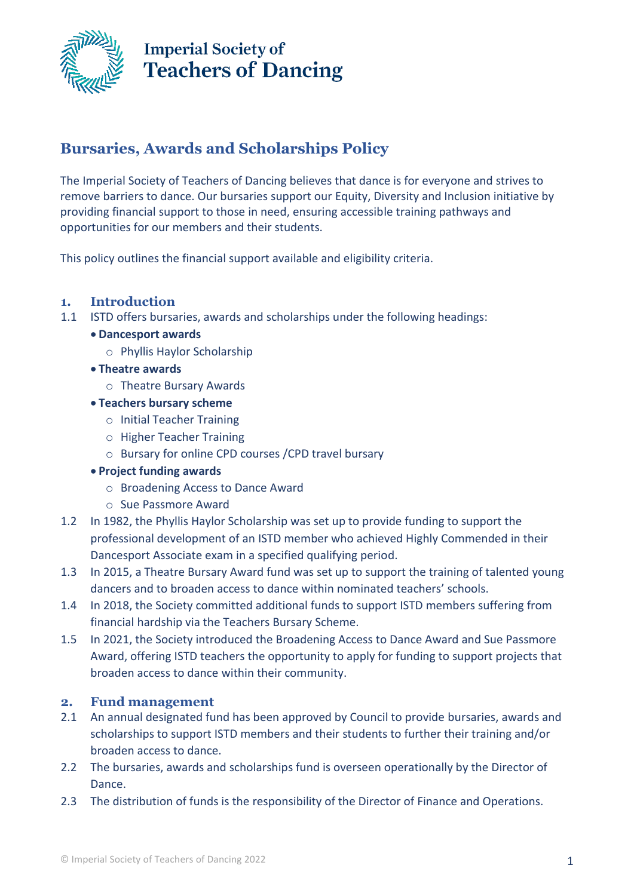

### **Bursaries, Awards and Scholarships Policy**

The Imperial Society of Teachers of Dancing believes that dance is for everyone and strives to remove barriers to dance. Our bursaries support our Equity, Diversity and Inclusion initiative by providing financial support to those in need, ensuring accessible training pathways and opportunities for our members and their students.

This policy outlines the financial support available and eligibility criteria.

### **1. Introduction**

- 1.1 ISTD offers bursaries, awards and scholarships under the following headings:
	- **Dancesport awards** 
		- o Phyllis Haylor Scholarship
	- **Theatre awards**
		- o Theatre Bursary Awards
	- **Teachers bursary scheme**
		- o Initial Teacher Training
		- o Higher Teacher Training
		- o Bursary for online CPD courses /CPD travel bursary
	- **Project funding awards**
		- o Broadening Access to Dance Award
		- o Sue Passmore Award
- 1.2 In 1982, the Phyllis Haylor Scholarship was set up to provide funding to support the professional development of an ISTD member who achieved Highly Commended in their Dancesport Associate exam in a specified qualifying period.
- 1.3 In 2015, a Theatre Bursary Award fund was set up to support the training of talented young dancers and to broaden access to dance within nominated teachers' schools.
- 1.4 In 2018, the Society committed additional funds to support ISTD members suffering from financial hardship via the Teachers Bursary Scheme.
- 1.5 In 2021, the Society introduced the Broadening Access to Dance Award and Sue Passmore Award, offering ISTD teachers the opportunity to apply for funding to support projects that broaden access to dance within their community.

#### **2. Fund management**

- 2.1 An annual designated fund has been approved by Council to provide bursaries, awards and scholarships to support ISTD members and their students to further their training and/or broaden access to dance.
- 2.2 The bursaries, awards and scholarships fund is overseen operationally by the Director of Dance.
- 2.3 The distribution of funds is the responsibility of the Director of Finance and Operations.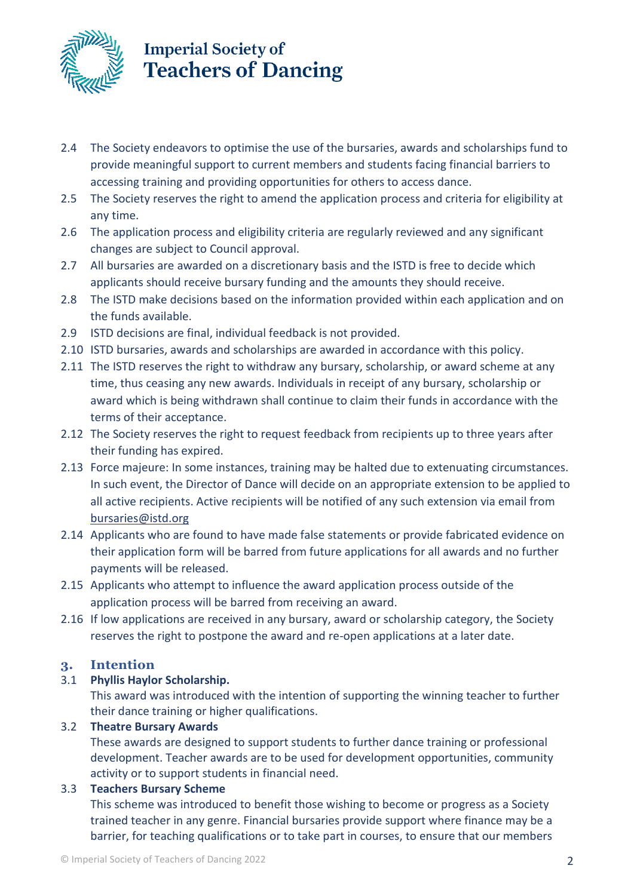

- 2.4 The Society endeavors to optimise the use of the bursaries, awards and scholarships fund to provide meaningful support to current members and students facing financial barriers to accessing training and providing opportunities for others to access dance.
- 2.5 The Society reserves the right to amend the application process and criteria for eligibility at any time.
- 2.6 The application process and eligibility criteria are regularly reviewed and any significant changes are subject to Council approval.
- 2.7 All bursaries are awarded on a discretionary basis and the ISTD is free to decide which applicants should receive bursary funding and the amounts they should receive.
- 2.8 The ISTD make decisions based on the information provided within each application and on the funds available.
- 2.9 ISTD decisions are final, individual feedback is not provided.
- 2.10 ISTD bursaries, awards and scholarships are awarded in accordance with this policy.
- 2.11 The ISTD reserves the right to withdraw any bursary, scholarship, or award scheme at any time, thus ceasing any new awards. Individuals in receipt of any bursary, scholarship or award which is being withdrawn shall continue to claim their funds in accordance with the terms of their acceptance.
- 2.12 The Society reserves the right to request feedback from recipients up to three years after their funding has expired.
- 2.13 Force majeure: In some instances, training may be halted due to extenuating circumstances. In such event, the Director of Dance will decide on an appropriate extension to be applied to all active recipients. Active recipients will be notified of any such extension via email from [bursaries@istd.org](mailto:bursaries@istd.org)
- 2.14 Applicants who are found to have made false statements or provide fabricated evidence on their application form will be barred from future applications for all awards and no further payments will be released.
- 2.15 Applicants who attempt to influence the award application process outside of the application process will be barred from receiving an award.
- 2.16 If low applications are received in any bursary, award or scholarship category, the Society reserves the right to postpone the award and re-open applications at a later date.

### **3. Intention**

#### 3.1 **Phyllis Haylor Scholarship.**

This award was introduced with the intention of supporting the winning teacher to further their dance training or higher qualifications.

### 3.2 **Theatre Bursary Awards**

These awards are designed to support students to further dance training or professional development. Teacher awards are to be used for development opportunities, community activity or to support students in financial need.

### 3.3 **Teachers Bursary Scheme**

This scheme was introduced to benefit those wishing to become or progress as a Society trained teacher in any genre. Financial bursaries provide support where finance may be a barrier, for teaching qualifications or to take part in courses, to ensure that our members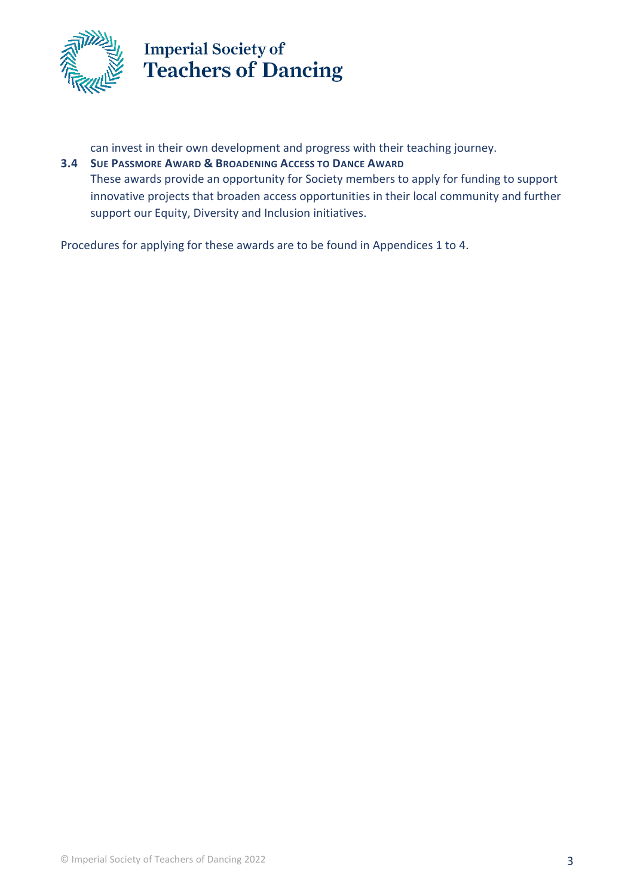

can invest in their own development and progress with their teaching journey.

**3.4 SUE PASSMORE AWARD & BROADENING ACCESS TO DANCE AWARD**  These awards provide an opportunity for Society members to apply for funding to support innovative projects that broaden access opportunities in their local community and further support our Equity, Diversity and Inclusion initiatives.

Procedures for applying for these awards are to be found in Appendices 1 to 4.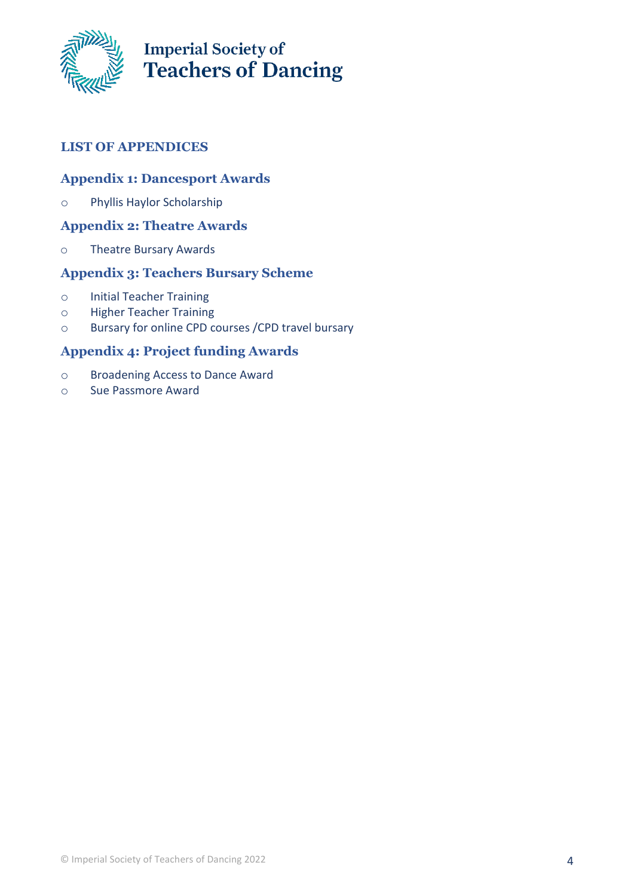

### **LIST OF APPENDICES**

#### **Appendix 1: Dancesport Awards**

o Phyllis Haylor Scholarship

### **Appendix 2: Theatre Awards**

o Theatre Bursary Awards

#### **Appendix 3: Teachers Bursary Scheme**

- o Initial Teacher Training
- o Higher Teacher Training
- o Bursary for online CPD courses /CPD travel bursary

### **Appendix 4: Project funding Awards**

- o Broadening Access to Dance Award
- o Sue Passmore Award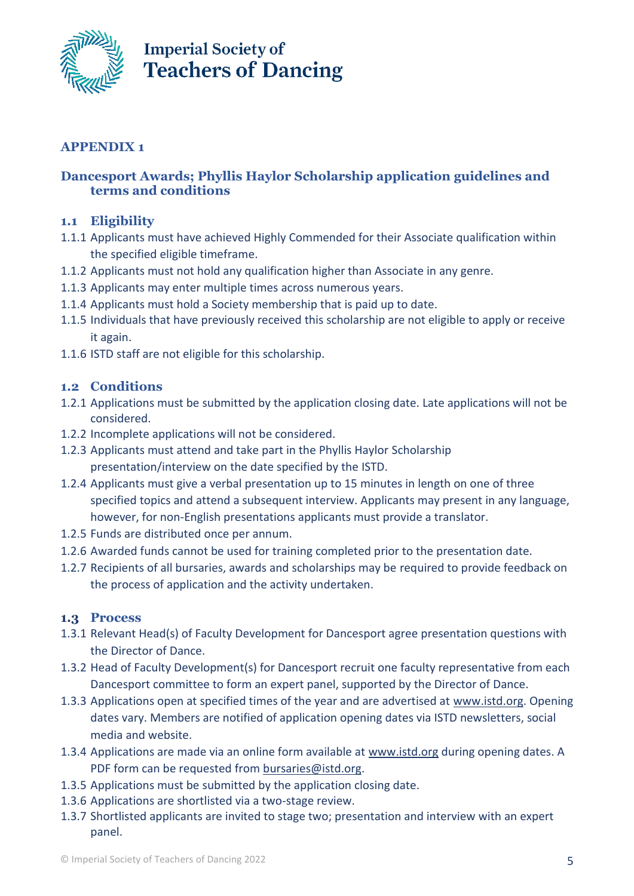

### **APPENDIX 1**

### **Dancesport Awards; Phyllis Haylor Scholarship application guidelines and terms and conditions**

#### **1.1 Eligibility**

- 1.1.1 Applicants must have achieved Highly Commended for their Associate qualification within the specified eligible timeframe.
- 1.1.2 Applicants must not hold any qualification higher than Associate in any genre.
- 1.1.3 Applicants may enter multiple times across numerous years.
- 1.1.4 Applicants must hold a Society membership that is paid up to date.
- 1.1.5 Individuals that have previously received this scholarship are not eligible to apply or receive it again.
- 1.1.6 ISTD staff are not eligible for this scholarship.

#### **1.2 Conditions**

- 1.2.1 Applications must be submitted by the application closing date. Late applications will not be considered.
- 1.2.2 Incomplete applications will not be considered.
- 1.2.3 Applicants must attend and take part in the Phyllis Haylor Scholarship presentation/interview on the date specified by the ISTD.
- 1.2.4 Applicants must give a verbal presentation up to 15 minutes in length on one of three specified topics and attend a subsequent interview. Applicants may present in any language, however, for non-English presentations applicants must provide a translator.
- 1.2.5 Funds are distributed once per annum.
- 1.2.6 Awarded funds cannot be used for training completed prior to the presentation date.
- 1.2.7 Recipients of all bursaries, awards and scholarships may be required to provide feedback on the process of application and the activity undertaken.

#### **1.3 Process**

- 1.3.1 Relevant Head(s) of Faculty Development for Dancesport agree presentation questions with the Director of Dance.
- 1.3.2 Head of Faculty Development(s) for Dancesport recruit one faculty representative from each Dancesport committee to form an expert panel, supported by the Director of Dance.
- 1.3.3 Applications open at specified times of the year and are advertised at [www.istd.org.](http://www.istd.org/) Opening dates vary. Members are notified of application opening dates via ISTD newsletters, social media and website.
- 1.3.4 Applications are made via an online form available at [www.istd.org](http://www.istd.org/) during opening dates. A PDF form can be requested from [bursaries@istd.org.](mailto:bursaries@istd.org)
- 1.3.5 Applications must be submitted by the application closing date.
- 1.3.6 Applications are shortlisted via a two-stage review.
- 1.3.7 Shortlisted applicants are invited to stage two; presentation and interview with an expert panel.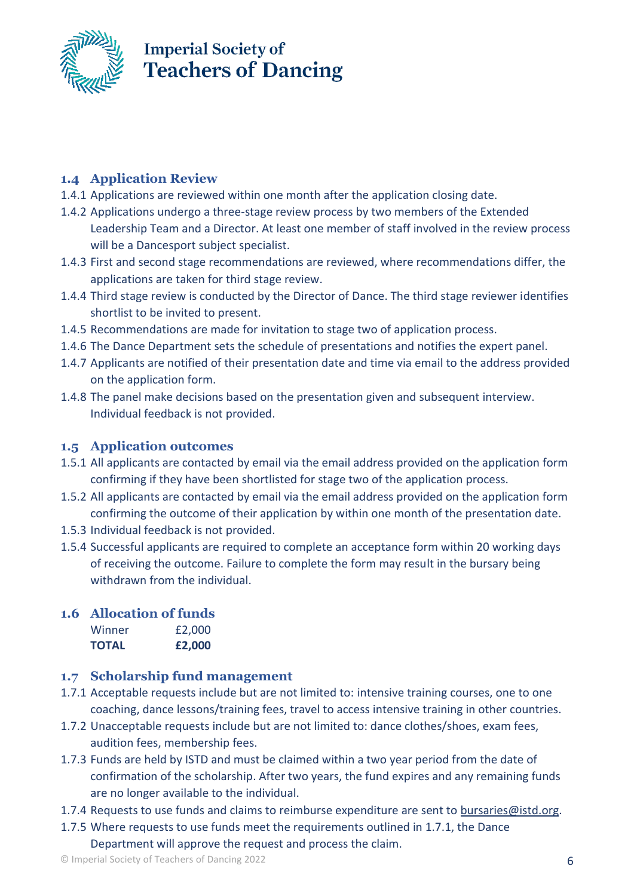

### **1.4 Application Review**

- 1.4.1 Applications are reviewed within one month after the application closing date.
- 1.4.2 Applications undergo a three-stage review process by two members of the Extended Leadership Team and a Director. At least one member of staff involved in the review process will be a Dancesport subject specialist.
- 1.4.3 First and second stage recommendations are reviewed, where recommendations differ, the applications are taken for third stage review.
- 1.4.4 Third stage review is conducted by the Director of Dance. The third stage reviewer identifies shortlist to be invited to present.
- 1.4.5 Recommendations are made for invitation to stage two of application process.
- 1.4.6 The Dance Department sets the schedule of presentations and notifies the expert panel.
- 1.4.7 Applicants are notified of their presentation date and time via email to the address provided on the application form.
- 1.4.8 The panel make decisions based on the presentation given and subsequent interview. Individual feedback is not provided.

### **1.5 Application outcomes**

- 1.5.1 All applicants are contacted by email via the email address provided on the application form confirming if they have been shortlisted for stage two of the application process.
- 1.5.2 All applicants are contacted by email via the email address provided on the application form confirming the outcome of their application by within one month of the presentation date.
- 1.5.3 Individual feedback is not provided.
- 1.5.4 Successful applicants are required to complete an acceptance form within 20 working days of receiving the outcome. Failure to complete the form may result in the bursary being withdrawn from the individual.

#### **1.6 Allocation of funds** Winner £2,000

| <b>TOTAL</b> | £2,000 |
|--------------|--------|
|              |        |

### **1.7 Scholarship fund management**

- 1.7.1 Acceptable requests include but are not limited to: intensive training courses, one to one coaching, dance lessons/training fees, travel to access intensive training in other countries.
- 1.7.2 Unacceptable requests include but are not limited to: dance clothes/shoes, exam fees, audition fees, membership fees.
- 1.7.3 Funds are held by ISTD and must be claimed within a two year period from the date of confirmation of the scholarship. After two years, the fund expires and any remaining funds are no longer available to the individual.
- 1.7.4 Requests to use funds and claims to reimburse expenditure are sent to [bursaries@istd.org.](mailto:bursaries@istd.org)
- 1.7.5 Where requests to use funds meet the requirements outlined in 1.7.1, the Dance Department will approve the request and process the claim.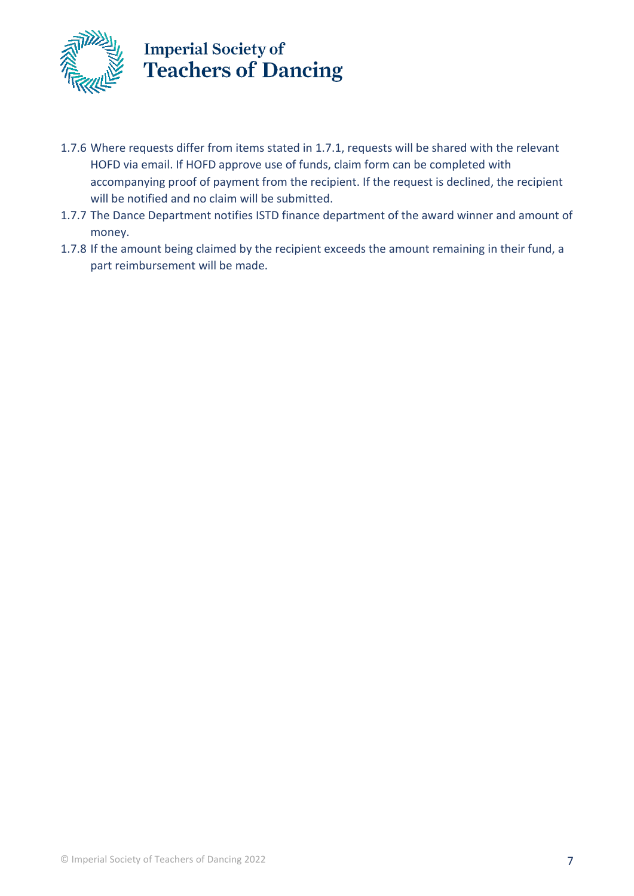

- 1.7.6 Where requests differ from items stated in 1.7.1, requests will be shared with the relevant HOFD via email. If HOFD approve use of funds, claim form can be completed with accompanying proof of payment from the recipient. If the request is declined, the recipient will be notified and no claim will be submitted.
- 1.7.7 The Dance Department notifies ISTD finance department of the award winner and amount of money.
- 1.7.8 If the amount being claimed by the recipient exceeds the amount remaining in their fund, a part reimbursement will be made.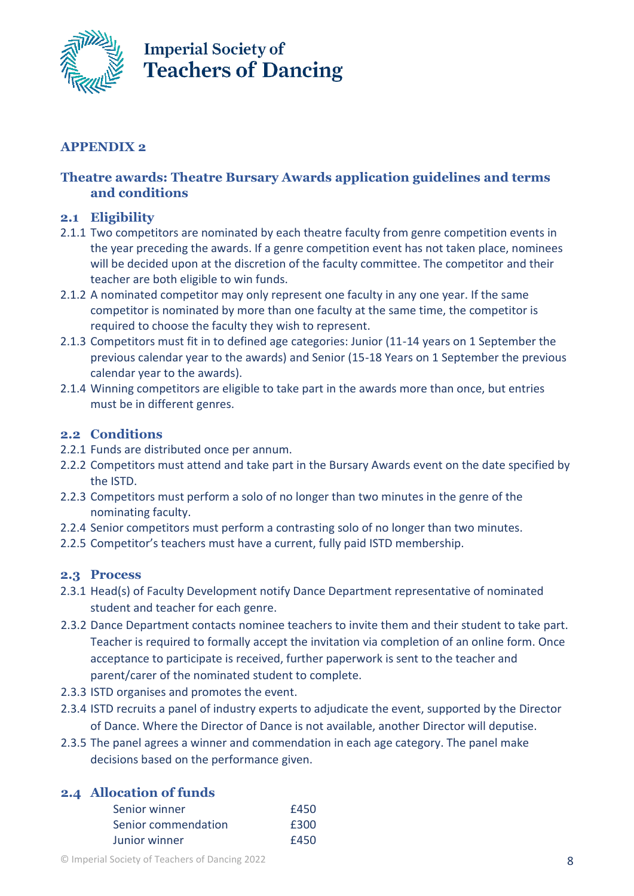

### **APPENDIX 2**

### **Theatre awards: Theatre Bursary Awards application guidelines and terms and conditions**

#### **2.1 Eligibility**

- 2.1.1 Two competitors are nominated by each theatre faculty from genre competition events in the year preceding the awards. If a genre competition event has not taken place, nominees will be decided upon at the discretion of the faculty committee. The competitor and their teacher are both eligible to win funds.
- 2.1.2 A nominated competitor may only represent one faculty in any one year. If the same competitor is nominated by more than one faculty at the same time, the competitor is required to choose the faculty they wish to represent.
- 2.1.3 Competitors must fit in to defined age categories: Junior (11-14 years on 1 September the previous calendar year to the awards) and Senior (15-18 Years on 1 September the previous calendar year to the awards).
- 2.1.4 Winning competitors are eligible to take part in the awards more than once, but entries must be in different genres.

#### **2.2 Conditions**

- 2.2.1 Funds are distributed once per annum.
- 2.2.2 Competitors must attend and take part in the Bursary Awards event on the date specified by the ISTD.
- 2.2.3 Competitors must perform a solo of no longer than two minutes in the genre of the nominating faculty.
- 2.2.4 Senior competitors must perform a contrasting solo of no longer than two minutes.
- 2.2.5 Competitor's teachers must have a current, fully paid ISTD membership.

#### **2.3 Process**

- 2.3.1 Head(s) of Faculty Development notify Dance Department representative of nominated student and teacher for each genre.
- 2.3.2 Dance Department contacts nominee teachers to invite them and their student to take part. Teacher is required to formally accept the invitation via completion of an online form. Once acceptance to participate is received, further paperwork is sent to the teacher and parent/carer of the nominated student to complete.
- 2.3.3 ISTD organises and promotes the event.
- 2.3.4 ISTD recruits a panel of industry experts to adjudicate the event, supported by the Director of Dance. Where the Director of Dance is not available, another Director will deputise.
- 2.3.5 The panel agrees a winner and commendation in each age category. The panel make decisions based on the performance given.

### **2.4 Allocation of funds**

| Senior winner       | £450 |
|---------------------|------|
| Senior commendation | £300 |
| Junior winner       | £450 |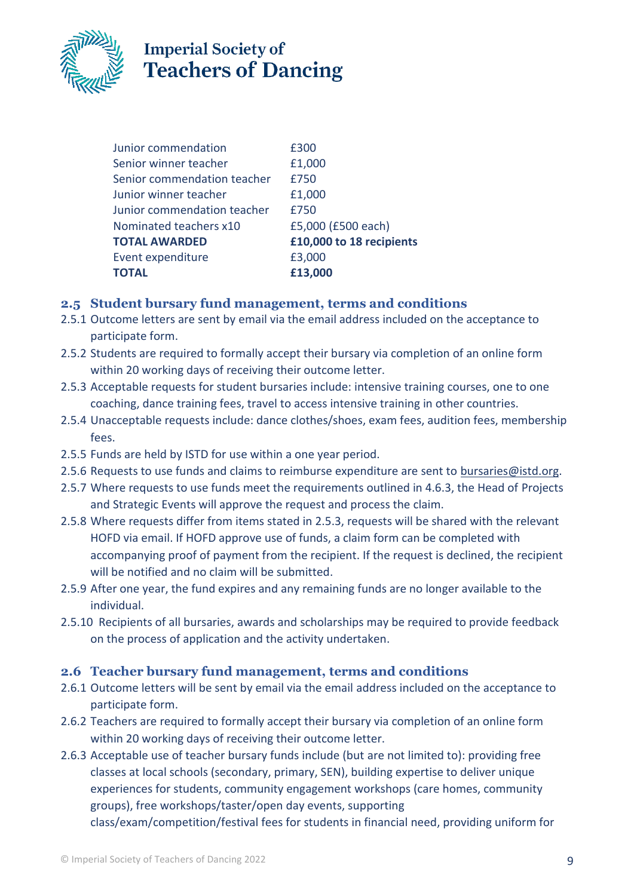

| Junior commendation         | £300                     |
|-----------------------------|--------------------------|
| Senior winner teacher       | £1,000                   |
| Senior commendation teacher | £750                     |
| Junior winner teacher       | £1,000                   |
| Junior commendation teacher | £750                     |
| Nominated teachers x10      | £5,000 (£500 each)       |
| <b>TOTAL AWARDED</b>        | £10,000 to 18 recipients |
| Event expenditure           | £3,000                   |
| TOTAL                       | £13,000                  |
|                             |                          |

### **2.5 Student bursary fund management, terms and conditions**

- 2.5.1 Outcome letters are sent by email via the email address included on the acceptance to participate form.
- 2.5.2 Students are required to formally accept their bursary via completion of an online form within 20 working days of receiving their outcome letter.
- 2.5.3 Acceptable requests for student bursaries include: intensive training courses, one to one coaching, dance training fees, travel to access intensive training in other countries.
- 2.5.4 Unacceptable requests include: dance clothes/shoes, exam fees, audition fees, membership fees.
- 2.5.5 Funds are held by ISTD for use within a one year period.
- 2.5.6 Requests to use funds and claims to reimburse expenditure are sent to [bursaries@istd.org.](mailto:bursaries@istd.org)
- 2.5.7 Where requests to use funds meet the requirements outlined in 4.6.3, the Head of Projects and Strategic Events will approve the request and process the claim.
- 2.5.8 Where requests differ from items stated in 2.5.3, requests will be shared with the relevant HOFD via email. If HOFD approve use of funds, a claim form can be completed with accompanying proof of payment from the recipient. If the request is declined, the recipient will be notified and no claim will be submitted.
- 2.5.9 After one year, the fund expires and any remaining funds are no longer available to the individual.
- 2.5.10 Recipients of all bursaries, awards and scholarships may be required to provide feedback on the process of application and the activity undertaken.

### **2.6 Teacher bursary fund management, terms and conditions**

- 2.6.1 Outcome letters will be sent by email via the email address included on the acceptance to participate form.
- 2.6.2 Teachers are required to formally accept their bursary via completion of an online form within 20 working days of receiving their outcome letter.
- 2.6.3 Acceptable use of teacher bursary funds include (but are not limited to): providing free classes at local schools (secondary, primary, SEN), building expertise to deliver unique experiences for students, community engagement workshops (care homes, community groups), free workshops/taster/open day events, supporting class/exam/competition/festival fees for students in financial need, providing uniform for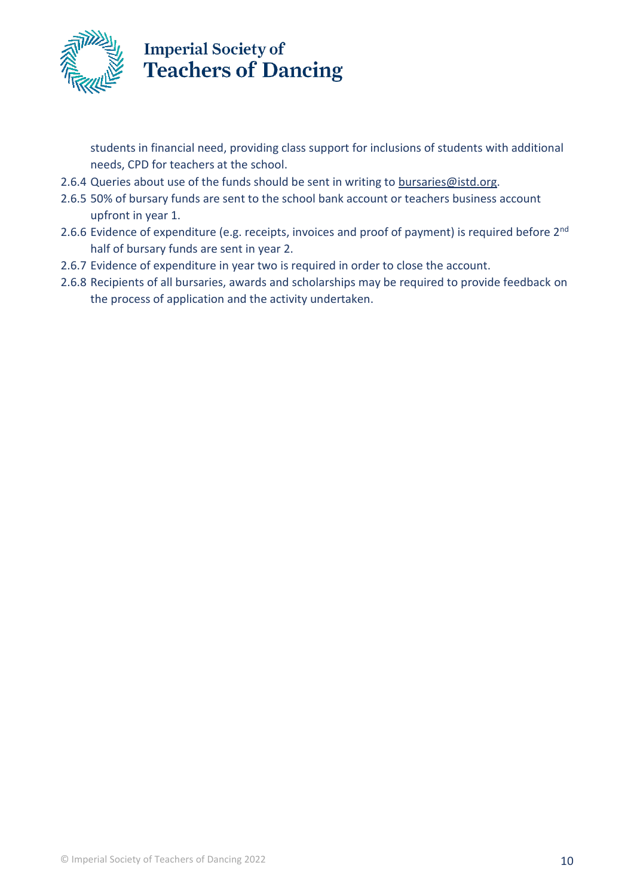

students in financial need, providing class support for inclusions of students with additional needs, CPD for teachers at the school.

- 2.6.4 Queries about use of the funds should be sent in writing to [bursaries@istd.org.](mailto:bursaries@istd.org)
- 2.6.5 50% of bursary funds are sent to the school bank account or teachers business account upfront in year 1.
- 2.6.6 Evidence of expenditure (e.g. receipts, invoices and proof of payment) is required before 2<sup>nd</sup> half of bursary funds are sent in year 2.
- 2.6.7 Evidence of expenditure in year two is required in order to close the account.
- 2.6.8 Recipients of all bursaries, awards and scholarships may be required to provide feedback on the process of application and the activity undertaken.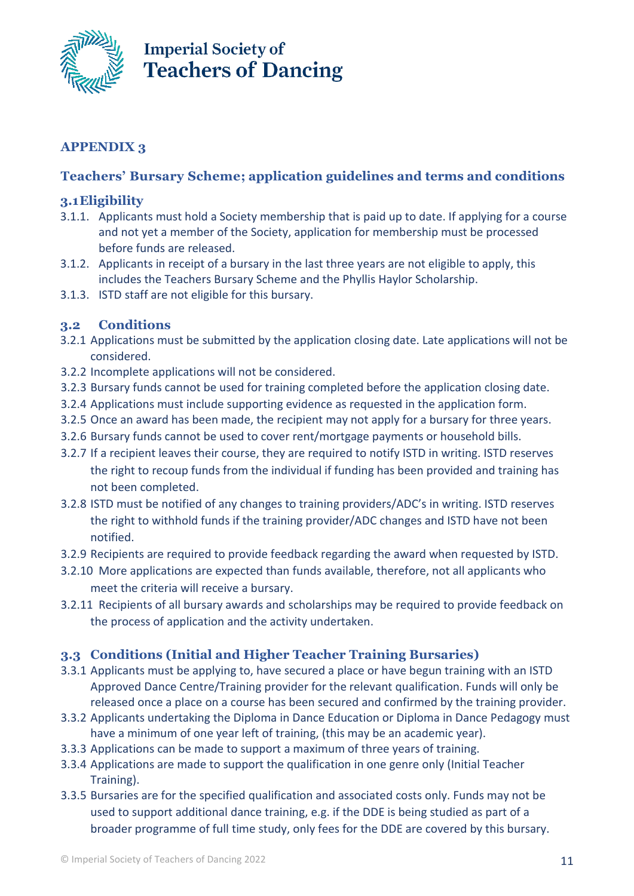

### **APPENDIX 3**

### **Teachers' Bursary Scheme; application guidelines and terms and conditions**

#### **3.1Eligibility**

- 3.1.1. Applicants must hold a Society membership that is paid up to date. If applying for a course and not yet a member of the Society, application for membership must be processed before funds are released.
- 3.1.2. Applicants in receipt of a bursary in the last three years are not eligible to apply, this includes the Teachers Bursary Scheme and the Phyllis Haylor Scholarship.
- 3.1.3. ISTD staff are not eligible for this bursary.

#### **3.2 Conditions**

- 3.2.1 Applications must be submitted by the application closing date. Late applications will not be considered.
- 3.2.2 Incomplete applications will not be considered.
- 3.2.3 Bursary funds cannot be used for training completed before the application closing date.
- 3.2.4 Applications must include supporting evidence as requested in the application form.
- 3.2.5 Once an award has been made, the recipient may not apply for a bursary for three years.
- 3.2.6 Bursary funds cannot be used to cover rent/mortgage payments or household bills.
- 3.2.7 If a recipient leaves their course, they are required to notify ISTD in writing. ISTD reserves the right to recoup funds from the individual if funding has been provided and training has not been completed.
- 3.2.8 ISTD must be notified of any changes to training providers/ADC's in writing. ISTD reserves the right to withhold funds if the training provider/ADC changes and ISTD have not been notified.
- 3.2.9 Recipients are required to provide feedback regarding the award when requested by ISTD.
- 3.2.10 More applications are expected than funds available, therefore, not all applicants who meet the criteria will receive a bursary.
- 3.2.11 Recipients of all bursary awards and scholarships may be required to provide feedback on the process of application and the activity undertaken.

#### **3.3 Conditions (Initial and Higher Teacher Training Bursaries)**

- 3.3.1 Applicants must be applying to, have secured a place or have begun training with an ISTD Approved Dance Centre/Training provider for the relevant qualification. Funds will only be released once a place on a course has been secured and confirmed by the training provider.
- 3.3.2 Applicants undertaking the Diploma in Dance Education or Diploma in Dance Pedagogy must have a minimum of one year left of training, (this may be an academic year).
- 3.3.3 Applications can be made to support a maximum of three years of training.
- 3.3.4 Applications are made to support the qualification in one genre only (Initial Teacher Training).
- 3.3.5 Bursaries are for the specified qualification and associated costs only. Funds may not be used to support additional dance training, e.g. if the DDE is being studied as part of a broader programme of full time study, only fees for the DDE are covered by this bursary.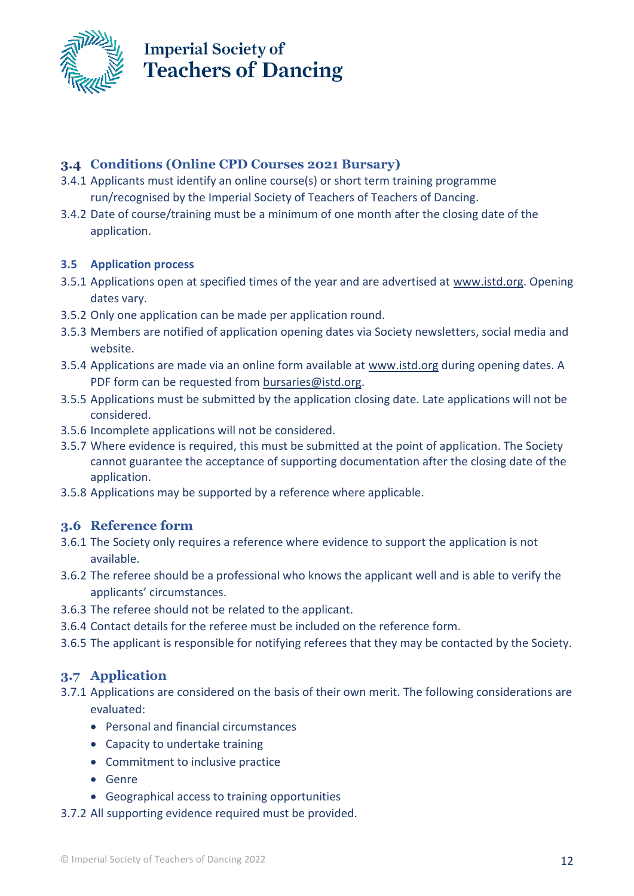

### **3.4 Conditions (Online CPD Courses 2021 Bursary)**

- 3.4.1 Applicants must identify an online course(s) or short term training programme run/recognised by the Imperial Society of Teachers of Teachers of Dancing.
- 3.4.2 Date of course/training must be a minimum of one month after the closing date of the application.

#### **3.5 Application process**

- 3.5.1 Applications open at specified times of the year and are advertised at [www.istd.org.](http://www.istd.org/) Opening dates vary.
- 3.5.2 Only one application can be made per application round.
- 3.5.3 Members are notified of application opening dates via Society newsletters, social media and website.
- 3.5.4 Applications are made via an online form available at [www.istd.org](http://www.istd.org/) during opening dates. A PDF form can be requested from [bursaries@istd.org.](mailto:bursaries@istd.org)
- 3.5.5 Applications must be submitted by the application closing date. Late applications will not be considered.
- 3.5.6 Incomplete applications will not be considered.
- 3.5.7 Where evidence is required, this must be submitted at the point of application. The Society cannot guarantee the acceptance of supporting documentation after the closing date of the application.
- 3.5.8 Applications may be supported by a reference where applicable.

### **3.6 Reference form**

- 3.6.1 The Society only requires a reference where evidence to support the application is not available.
- 3.6.2 The referee should be a professional who knows the applicant well and is able to verify the applicants' circumstances.
- 3.6.3 The referee should not be related to the applicant.
- 3.6.4 Contact details for the referee must be included on the reference form.
- 3.6.5 The applicant is responsible for notifying referees that they may be contacted by the Society.

### **3.7 Application**

- 3.7.1 Applications are considered on the basis of their own merit. The following considerations are evaluated:
	- Personal and financial circumstances
	- Capacity to undertake training
	- Commitment to inclusive practice
	- Genre
	- Geographical access to training opportunities
- 3.7.2 All supporting evidence required must be provided.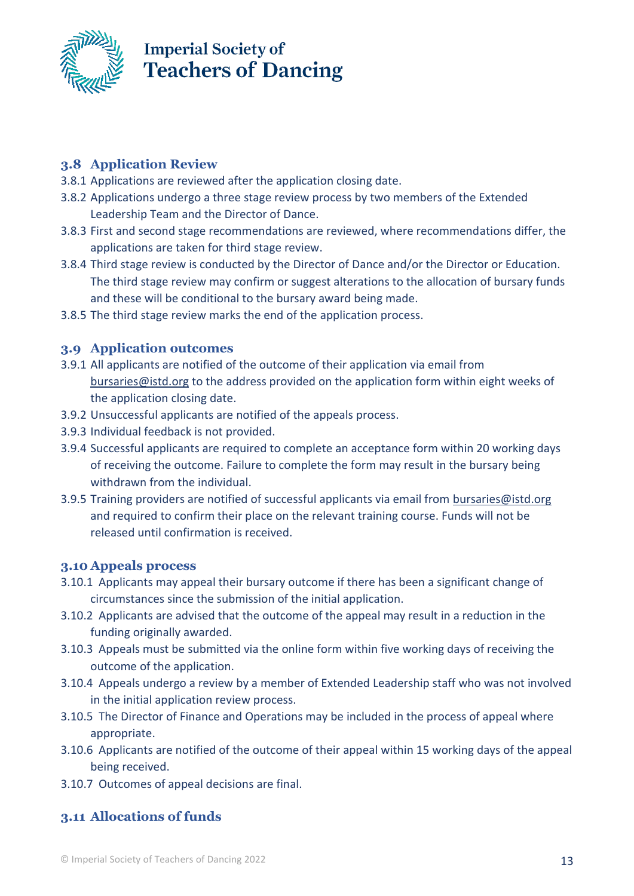

### **3.8 Application Review**

- 3.8.1 Applications are reviewed after the application closing date.
- 3.8.2 Applications undergo a three stage review process by two members of the Extended Leadership Team and the Director of Dance.
- 3.8.3 First and second stage recommendations are reviewed, where recommendations differ, the applications are taken for third stage review.
- 3.8.4 Third stage review is conducted by the Director of Dance and/or the Director or Education. The third stage review may confirm or suggest alterations to the allocation of bursary funds and these will be conditional to the bursary award being made.
- 3.8.5 The third stage review marks the end of the application process.

### **3.9 Application outcomes**

- 3.9.1 All applicants are notified of the outcome of their application via email from [bursaries@istd.org](mailto:bursaries@istd.org) to the address provided on the application form within eight weeks of the application closing date.
- 3.9.2 Unsuccessful applicants are notified of the appeals process.
- 3.9.3 Individual feedback is not provided.
- 3.9.4 Successful applicants are required to complete an acceptance form within 20 working days of receiving the outcome. Failure to complete the form may result in the bursary being withdrawn from the individual.
- 3.9.5 Training providers are notified of successful applicants via email from [bursaries@istd.org](mailto:bursaries@istd.org) and required to confirm their place on the relevant training course. Funds will not be released until confirmation is received.

### **3.10 Appeals process**

- 3.10.1 Applicants may appeal their bursary outcome if there has been a significant change of circumstances since the submission of the initial application.
- 3.10.2 Applicants are advised that the outcome of the appeal may result in a reduction in the funding originally awarded.
- 3.10.3 Appeals must be submitted via the online form within five working days of receiving the outcome of the application.
- 3.10.4 Appeals undergo a review by a member of Extended Leadership staff who was not involved in the initial application review process.
- 3.10.5 The Director of Finance and Operations may be included in the process of appeal where appropriate.
- 3.10.6 Applicants are notified of the outcome of their appeal within 15 working days of the appeal being received.
- 3.10.7 Outcomes of appeal decisions are final.

### **3.11 Allocations of funds**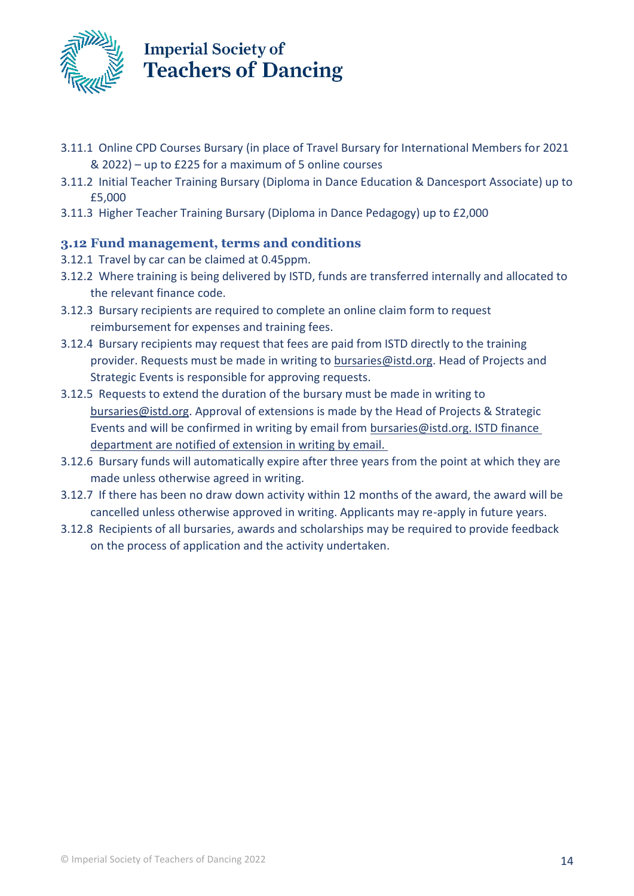

- 3.11.1 Online CPD Courses Bursary (in place of Travel Bursary for International Members for 2021 & 2022) – up to £225 for a maximum of 5 online courses
- 3.11.2 Initial Teacher Training Bursary (Diploma in Dance Education & Dancesport Associate) up to £5,000
- 3.11.3 Higher Teacher Training Bursary (Diploma in Dance Pedagogy) up to £2,000

### **3.12 Fund management, terms and conditions**

- 3.12.1 Travel by car can be claimed at 0.45ppm.
- 3.12.2 Where training is being delivered by ISTD, funds are transferred internally and allocated to the relevant finance code.
- 3.12.3 Bursary recipients are required to complete an online claim form to request reimbursement for expenses and training fees.
- 3.12.4 Bursary recipients may request that fees are paid from ISTD directly to the training provider. Requests must be made in writing to **bursaries@istd.org**. Head of Projects and Strategic Events is responsible for approving requests.
- 3.12.5 Requests to extend the duration of the bursary must be made in writing to [bursaries@istd.org.](mailto:bursaries@istd.org) Approval of extensions is made by the Head of Projects & Strategic Events and will be confirmed in writing by email from [bursaries@istd.org.](mailto:bursaries@istd.org) ISTD finance department are notified of extension in writing by email.
- 3.12.6 Bursary funds will automatically expire after three years from the point at which they are made unless otherwise agreed in writing.
- 3.12.7 If there has been no draw down activity within 12 months of the award, the award will be cancelled unless otherwise approved in writing. Applicants may re-apply in future years.
- 3.12.8 Recipients of all bursaries, awards and scholarships may be required to provide feedback on the process of application and the activity undertaken.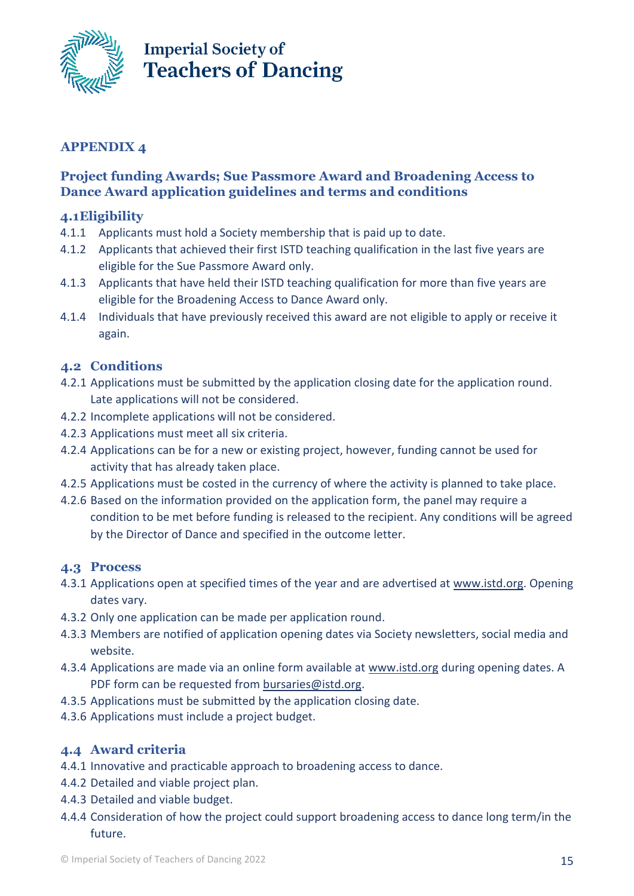

### **APPENDIX 4**

### **Project funding Awards; Sue Passmore Award and Broadening Access to Dance Award application guidelines and terms and conditions**

### **4.1Eligibility**

- 4.1.1 Applicants must hold a Society membership that is paid up to date.
- 4.1.2 Applicants that achieved their first ISTD teaching qualification in the last five years are eligible for the Sue Passmore Award only.
- 4.1.3 Applicants that have held their ISTD teaching qualification for more than five years are eligible for the Broadening Access to Dance Award only.
- 4.1.4 Individuals that have previously received this award are not eligible to apply or receive it again.

### **4.2 Conditions**

- 4.2.1 Applications must be submitted by the application closing date for the application round. Late applications will not be considered.
- 4.2.2 Incomplete applications will not be considered.
- 4.2.3 Applications must meet all six criteria.
- 4.2.4 Applications can be for a new or existing project, however, funding cannot be used for activity that has already taken place.
- 4.2.5 Applications must be costed in the currency of where the activity is planned to take place.
- 4.2.6 Based on the information provided on the application form, the panel may require a condition to be met before funding is released to the recipient. Any conditions will be agreed by the Director of Dance and specified in the outcome letter.

### **4.3 Process**

- 4.3.1 Applications open at specified times of the year and are advertised at [www.istd.org.](http://www.istd.org/) Opening dates vary.
- 4.3.2 Only one application can be made per application round.
- 4.3.3 Members are notified of application opening dates via Society newsletters, social media and website.
- 4.3.4 Applications are made via an online form available at [www.istd.org](http://www.istd.org/) during opening dates. A PDF form can be requested from [bursaries@istd.org.](mailto:bursaries@istd.org)
- 4.3.5 Applications must be submitted by the application closing date.
- 4.3.6 Applications must include a project budget.

### **4.4 Award criteria**

- 4.4.1 Innovative and practicable approach to broadening access to dance.
- 4.4.2 Detailed and viable project plan.
- 4.4.3 Detailed and viable budget.
- 4.4.4 Consideration of how the project could support broadening access to dance long term/in the future.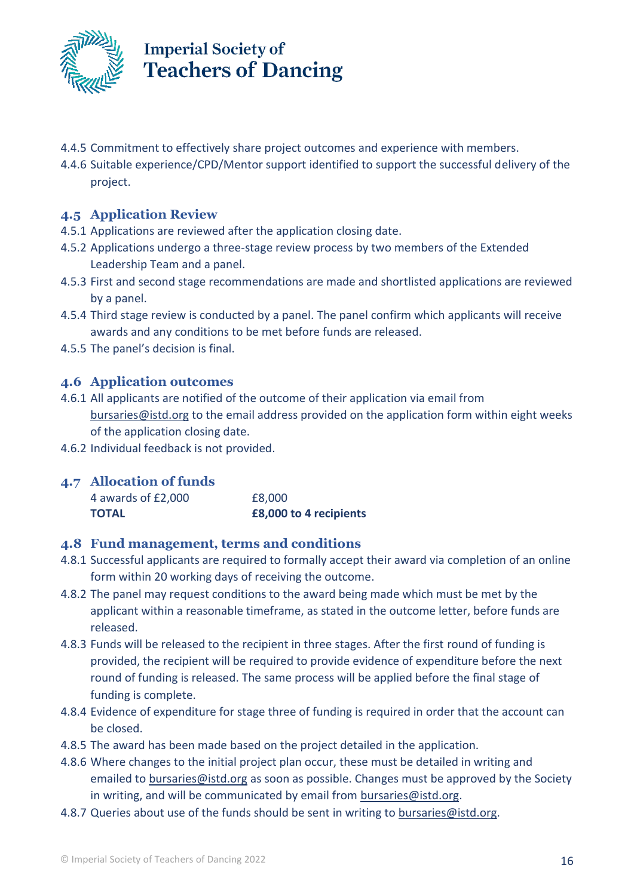

- 4.4.5 Commitment to effectively share project outcomes and experience with members.
- 4.4.6 Suitable experience/CPD/Mentor support identified to support the successful delivery of the project.

### **4.5 Application Review**

- 4.5.1 Applications are reviewed after the application closing date.
- 4.5.2 Applications undergo a three-stage review process by two members of the Extended Leadership Team and a panel.
- 4.5.3 First and second stage recommendations are made and shortlisted applications are reviewed by a panel.
- 4.5.4 Third stage review is conducted by a panel. The panel confirm which applicants will receive awards and any conditions to be met before funds are released.
- 4.5.5 The panel's decision is final.

### **4.6 Application outcomes**

- 4.6.1 All applicants are notified of the outcome of their application via email from [bursaries@istd.org](mailto:bursaries@istd.org) to the email address provided on the application form within eight weeks of the application closing date.
- 4.6.2 Individual feedback is not provided.

### **4.7 Allocation of funds**

| <b>TOTAL</b>       | £8,000 to 4 recipients |
|--------------------|------------------------|
| 4 awards of £2,000 | £8,000                 |

#### **4.8 Fund management, terms and conditions**

- 4.8.1 Successful applicants are required to formally accept their award via completion of an online form within 20 working days of receiving the outcome.
- 4.8.2 The panel may request conditions to the award being made which must be met by the applicant within a reasonable timeframe, as stated in the outcome letter, before funds are released.
- 4.8.3 Funds will be released to the recipient in three stages. After the first round of funding is provided, the recipient will be required to provide evidence of expenditure before the next round of funding is released. The same process will be applied before the final stage of funding is complete.
- 4.8.4 Evidence of expenditure for stage three of funding is required in order that the account can be closed.
- 4.8.5 The award has been made based on the project detailed in the application.
- 4.8.6 Where changes to the initial project plan occur, these must be detailed in writing and emailed to [bursaries@istd.org](mailto:bursaries@istd.org) as soon as possible. Changes must be approved by the Society in writing, and will be communicated by email from [bursaries@istd.org.](mailto:bursaries@istd.org)
- 4.8.7 Queries about use of the funds should be sent in writing to [bursaries@istd.org.](mailto:bursaries@istd.org)